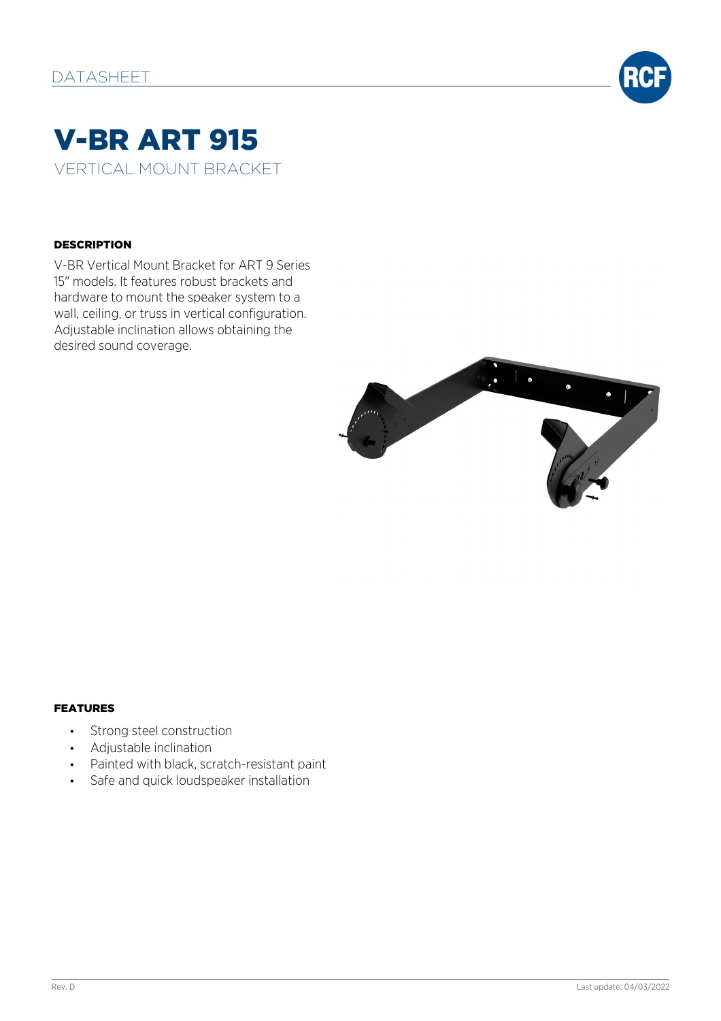

# V-BR ART 915 VERTICAL MOUNT BRACKET

#### **DESCRIPTION**

V-BR Vertical Mount Bracket for ART 9 Series 15" models. It features robust brackets and hardware to mount the speaker system to a wall, ceiling, or truss in vertical configuration. Adjustable inclination allows obtaining the desired sound coverage.



#### FEATURES

- Strong steel construction
- Adjustable inclination
- Painted with black, scratch-resistant paint
- Safe and quick loudspeaker installation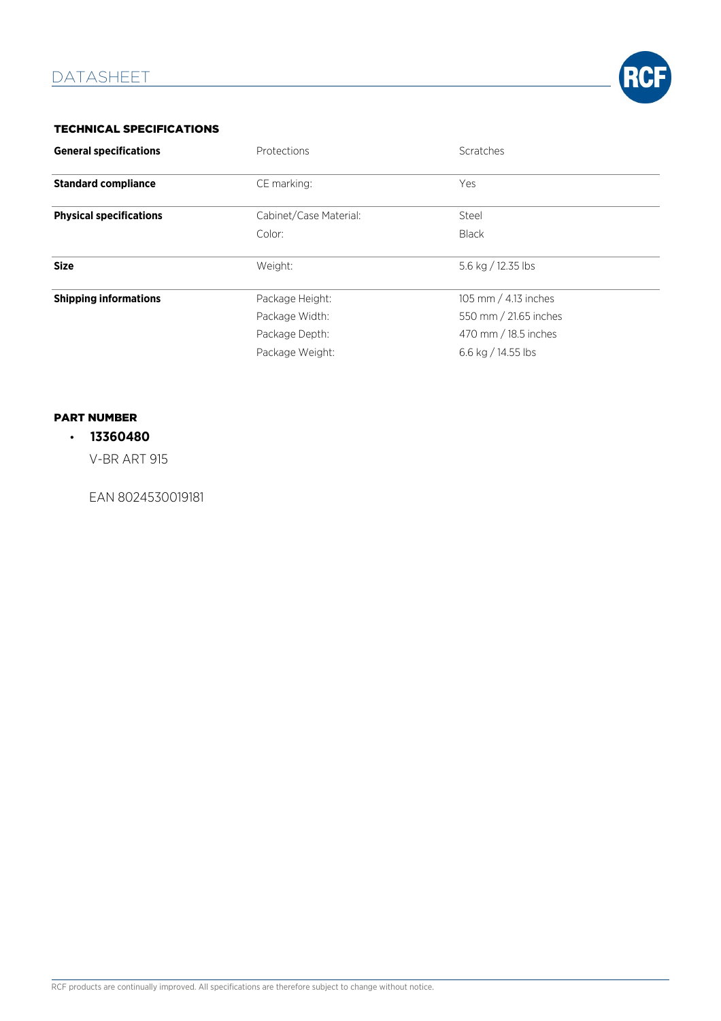

## TECHNICAL SPECIFICATIONS

| <b>General specifications</b>  | Protections            | Scratches              |
|--------------------------------|------------------------|------------------------|
| <b>Standard compliance</b>     | CE marking:            | Yes                    |
| <b>Physical specifications</b> | Cabinet/Case Material: | Steel                  |
|                                | Color:                 | <b>Black</b>           |
| <b>Size</b>                    | Weight:                | 5.6 kg / 12.35 lbs     |
| <b>Shipping informations</b>   | Package Height:        | 105 mm $/$ 4.13 inches |
|                                | Package Width:         | 550 mm / 21.65 inches  |
|                                | Package Depth:         | 470 mm / 18.5 inches   |
|                                | Package Weight:        | 6.6 kg / 14.55 lbs     |

## PART NUMBER

# • **13360480**

V-BR ART 915

EAN 8024530019181